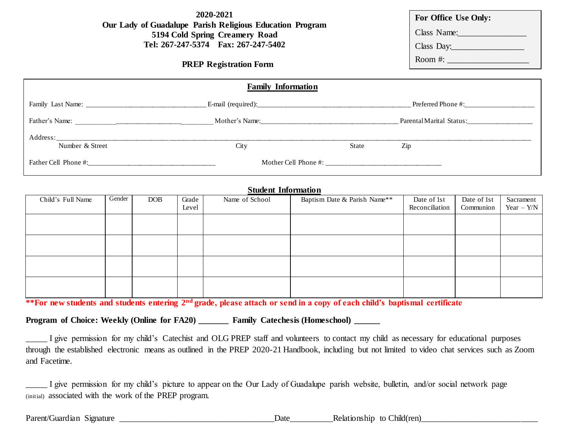**2020-2021 Our Lady of Guadalupe Parish Religious Education Program 5194 Cold Spring Creamery Road Tel: 267-247-5374 Fax: 267-247-5402**

**PREP Registration Form**

**For Office Use Only:**

Class Name:

Class Day:\_\_\_\_\_\_\_\_\_\_\_\_\_\_\_\_\_

Room #: \_\_\_\_\_\_\_\_\_\_\_\_\_\_\_\_\_\_\_

| <b>Family Information</b>   |      |       |                          |  |  |  |
|-----------------------------|------|-------|--------------------------|--|--|--|
|                             |      |       | Preferred Phone #:       |  |  |  |
|                             |      |       | Parental Marital Status: |  |  |  |
| Address:<br>Number & Street | City | State | Zip                      |  |  |  |
| Father Cell Phone #:        |      |       |                          |  |  |  |

## **Student Information**

| Child's Full Name | Gender | <b>DOB</b> | Grade<br>Level | Name of School | Baptism Date & Parish Name** | Date of 1st<br>Reconciliation | Date of 1st<br>Communion | Sacrament<br>Year $-Y/N$ |
|-------------------|--------|------------|----------------|----------------|------------------------------|-------------------------------|--------------------------|--------------------------|
|                   |        |            |                |                |                              |                               |                          |                          |
|                   |        |            |                |                |                              |                               |                          |                          |
|                   |        |            |                |                |                              |                               |                          |                          |
|                   |        |            |                |                |                              |                               |                          |                          |
|                   |        |            |                |                |                              |                               |                          |                          |
|                   |        |            |                |                |                              |                               |                          |                          |
|                   |        |            |                |                |                              |                               |                          |                          |

**\*\*For new students and students entering 2nd grade, please attach or send in a copy of each child's baptismal certificate**

**Program of Choice: Weekly (Online for FA20) \_\_\_\_\_\_\_ Family Catechesis (Homeschool) \_\_\_\_\_\_**

\_\_\_\_\_ I give permission for my child's Catechist and OLG PREP staff and volunteers to contact my child as necessary for educational purposes through the established electronic means as outlined in the PREP 2020-21 Handbook, including but not limited to video chat services such as Zoom and Facetime.

I give permission for my child's picture to appear on the Our Lady of Guadalupe parish website, bulletin, and/or social network page (initial) associated with the work of the PREP program.